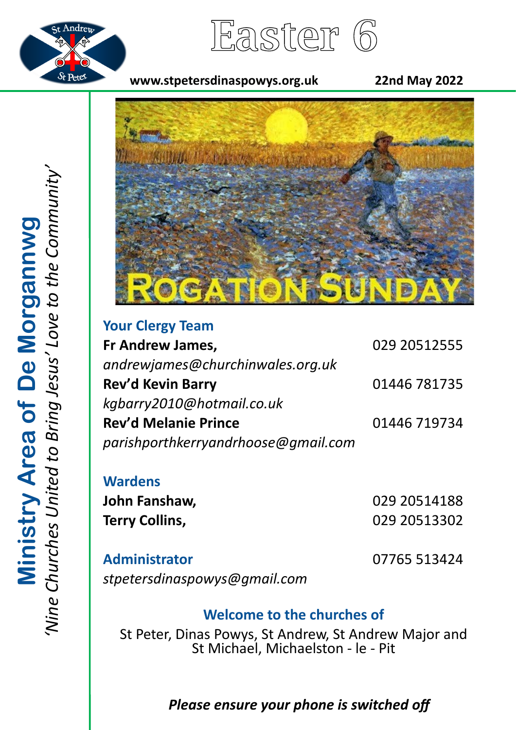

Easter 6

**www.stpetersdinaspowys.org.uk 22nd May 2022**



**Your Clergy Team Fr Andrew James,** 029 20512555 *andrewjames@churchinwales.org.uk* **Rev'd Kevin Barry** 01446 781735 *kgbarry2010@hotmail.co.uk* **Rev'd Melanie Prince** 01446 719734 *parishporthkerryandrhoose@gmail.com*

**Wardens John Fanshaw,** 029 20514188 **Terry Collins,** 029 20513302

**Administrator** 07765 513424

*stpetersdinaspowys@gmail.com*

## **Welcome to the churches of**

St Peter, Dinas Powys, St Andrew, St Andrew Major and St Michael, Michaelston - le - Pit

# *Please ensure your phone is switched off*

*'Nine Churches United to Bring Jesus' Love to the Community'* Ministry Area of De Morgannwg<br>Wine Churches United to Bring Jesus' Love to the Communit **Ministry Area of De Morgannwg**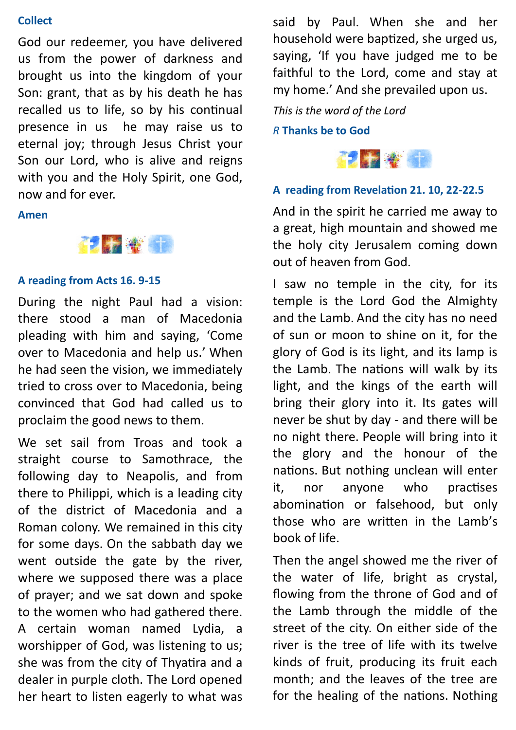## **Collect**

God our redeemer, you have delivered us from the power of darkness and brought us into the kingdom of your Son: grant, that as by his death he has recalled us to life, so by his continual presence in us he may raise us to eternal joy; through Jesus Christ your Son our Lord, who is alive and reigns with you and the Holy Spirit, one God, now and for ever.

**Amen**



### **A reading from Acts 16. 9-15**

During the night Paul had a vision: there stood a man of Macedonia pleading with him and saying, 'Come over to Macedonia and help us.' When he had seen the vision, we immediately tried to cross over to Macedonia, being convinced that God had called us to proclaim the good news to them.

We set sail from Troas and took a straight course to Samothrace, the following day to Neapolis, and from there to Philippi, which is a leading city of the district of Macedonia and a Roman colony. We remained in this city for some days. On the sabbath day we went outside the gate by the river, where we supposed there was a place of prayer; and we sat down and spoke to the women who had gathered there. A certain woman named Lydia, a worshipper of God, was listening to us; she was from the city of Thyatira and a dealer in purple cloth. The Lord opened her heart to listen eagerly to what was

said by Paul. When she and her household were baptized, she urged us, saying, 'If you have judged me to be faithful to the Lord, come and stay at my home.' And she prevailed upon us.

*This is the word of the Lord*

*R* **Thanks be to God**



## **A reading from Revelation 21. 10, 22-22.5**

And in the spirit he carried me away to a great, high mountain and showed me the holy city Jerusalem coming down out of heaven from God.

I saw no temple in the city, for its temple is the Lord God the Almighty and the Lamb. And the city has no need of sun or moon to shine on it, for the glory of God is its light, and its lamp is the Lamb. The nations will walk by its light, and the kings of the earth will bring their glory into it. Its gates will never be shut by day - and there will be no night there. People will bring into it the glory and the honour of the nations. But nothing unclean will enter it, nor anyone who practises abomination or falsehood, but only those who are written in the Lamb's book of life.

Then the angel showed me the river of the water of life, bright as crystal, flowing from the throne of God and of the Lamb through the middle of the street of the city. On either side of the river is the tree of life with its twelve kinds of fruit, producing its fruit each month; and the leaves of the tree are for the healing of the nations. Nothing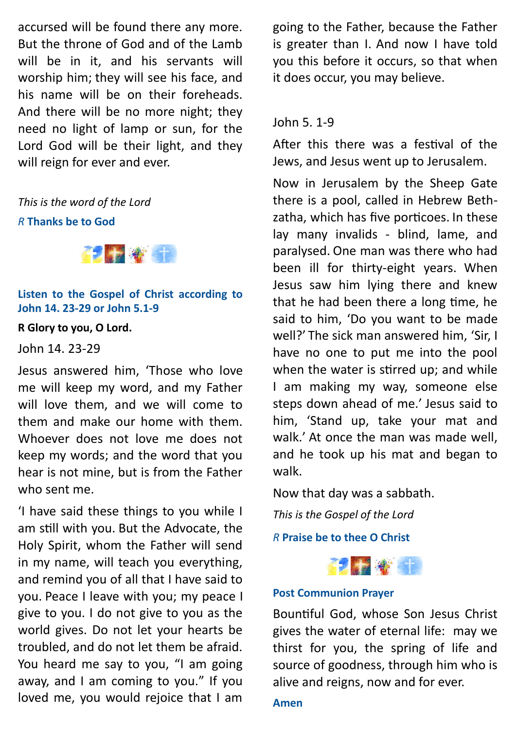accursed will be found there any more. But the throne of God and of the Lamb will be in it, and his servants will worship him; they will see his face, and his name will be on their foreheads. And there will be no more night; they need no light of lamp or sun, for the Lord God will be their light, and they will reign for ever and ever.

## *This is the word of the Lord R* **Thanks be to God**



## **Listen to the Gospel of Christ according to John 14. 23-29 or John 5.1-9**

#### **R Glory to you, O Lord.**

#### John 14. 23-29

Jesus answered him, 'Those who love me will keep my word, and my Father will love them, and we will come to them and make our home with them. Whoever does not love me does not keep my words; and the word that you hear is not mine, but is from the Father who sent me.

'I have said these things to you while I am still with you. But the Advocate, the Holy Spirit, whom the Father will send in my name, will teach you everything, and remind you of all that I have said to you. Peace I leave with you; my peace I give to you. I do not give to you as the world gives. Do not let your hearts be troubled, and do not let them be afraid. You heard me say to you, "I am going away, and I am coming to you." If you loved me, you would rejoice that I am

going to the Father, because the Father is greater than I. And now I have told you this before it occurs, so that when it does occur, you may believe.

## John 5. 1-9

After this there was a festival of the Jews, and Jesus went up to Jerusalem.

Now in Jerusalem by the Sheep Gate there is a pool, called in Hebrew Bethzatha, which has five porticoes. In these lay many invalids - blind, lame, and paralysed. One man was there who had been ill for thirty-eight years. When Jesus saw him lying there and knew that he had been there a long time, he said to him, 'Do you want to be made well?' The sick man answered him, 'Sir, I have no one to put me into the pool when the water is stirred up; and while I am making my way, someone else steps down ahead of me.' Jesus said to him, 'Stand up, take your mat and walk.' At once the man was made well, and he took up his mat and began to walk.

Now that day was a sabbath.

*This is the Gospel of the Lord*

*R* **Praise be to thee O Christ**



#### **Post Communion Prayer**

Bountiful God, whose Son Jesus Christ gives the water of eternal life: may we thirst for you, the spring of life and source of goodness, through him who is alive and reigns, now and for ever.